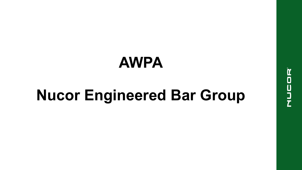## **AWPA**

## **Nucor Engineered Bar Group**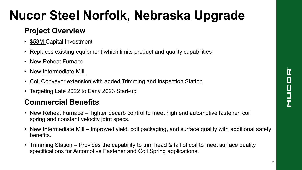## **Nucor Steel Norfolk, Nebraska Upgrade**

#### **Project Overview**

- \$58M Capital Investment
- Replaces existing equipment which limits product and quality capabilities
- New Reheat Furnace
- New Intermediate Mill
- Coil Conveyor extension with added Trimming and Inspection Station
- Targeting Late 2022 to Early 2023 Start-up

### **Commercial Benefits**

- New Reheat Furnace Tighter decarb control to meet high end automotive fastener, coil spring and constant velocity joint specs.
- New Intermediate Mill Improved yield, coil packaging, and surface quality with additional safety benefits.
- Trimming Station Provides the capability to trim head & tail of coil to meet surface quality specifications for Automotive Fastener and Coil Spring applications.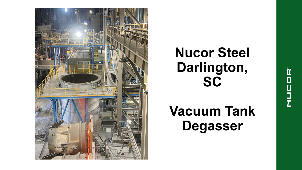

## **Nucor Steel Darlington, SC**

## **Vacuum Tank Degasser**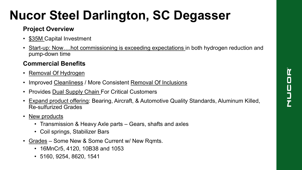## **Nucor Steel Darlington, SC Degasser**

#### **Project Overview**

- \$35M Capital Investment
- Start-up: Now….hot commissioning is exceeding expectations in both hydrogen reduction and pump-down time

#### **Commercial Benefits**

- Removal Of Hydrogen
- Improved Cleanliness / More Consistent Removal Of Inclusions
- Provides Dual Supply Chain For Critical Customers
- Expand product offering: Bearing, Aircraft, & Automotive Quality Standards, Aluminum Killed, Re-sulfurized Grades
- New products
	- Transmission & Heavy Axle parts Gears, shafts and axles
	- Coil springs, Stabilizer Bars
- Grades Some New & Some Current w/ New Rqmts.
	- 16MnCr5, 4120, 10B38 and 1053
	- 5160, 9254, 8620, 1541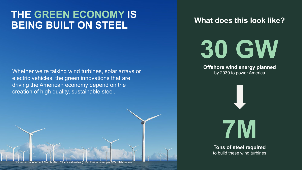### **THE GREEN ECONOMY IS BEING BUILT ON STEEL**

Whether we're talking wind turbines, solar arrays or electric vehicles, the green innovations that are driving the American economy depend on the creation of high quality, sustainable steel.

**What does this look like?**

# **30 GW**

**Offshore wind energy planned**  by 2030 to power America

**7M**

**Tons of steel required**  to build these wind turbines

2021 <sup>2</sup>Nucor estimates (~230 tons of steel per MW offshore w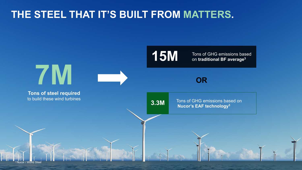### **THE STEEL THAT IT'S BUILT FROM MATTERS.**

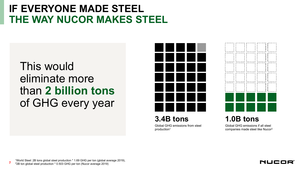### **IF EVERYONE MADE STEEL THE WAY NUCOR MAKES STEEL**

### This would eliminate more than **2 billion tons**  of GHG every year



**3.4B tons**

Global GHG emissions from steel production1



#### **1.0B tons**

Global GHG emissions if all steel companies made steel like Nucor2

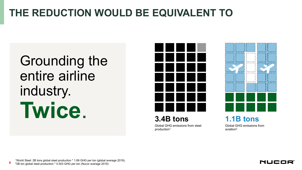### **THE REDUCTION WOULD BE EQUIVALENT TO**

## Grounding the entire airline industry. **Twice. JEE**



Global GHG emissions from steel production1



**1.1B tons**

Global GHG emissions from aviation2

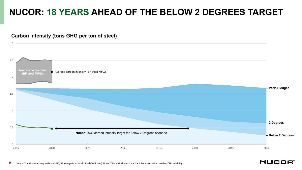### **NUCOR: 18 YEARS AHEAD OF THE BELOW 2 DEGREES TARGET**



#### NUCOR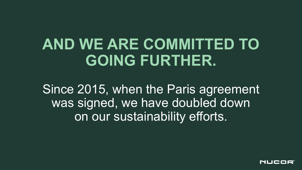## **AND WE ARE COMMITTED TO GOING FURTHER.**

Since 2015, when the Paris agreement was signed, we have doubled down on our sustainability efforts.

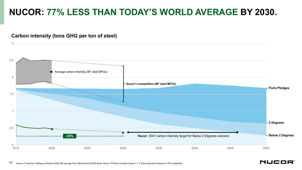### **NUCOR: 77% LESS THAN TODAY'S WORLD AVERAGE BY 2030.**



#### NUCOR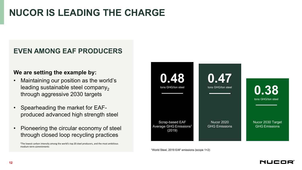### **NUCOR IS LEADING THE CHARGE**

#### **EVEN AMONG EAF PRODUCERS**

#### **We are setting the example by:**

- Maintaining our position as the world's leading sustainable steel company<sub>2</sub> through aggressive 2030 targets
- Spearheading the market for EAFproduced advanced high strength steel
- Pioneering the circular economy of steel through closed loop recycling practices

<sup>2</sup>The lowest carbon intensity among the world's top 20 steel producers, and the most ambitious medium term commitments



1World Steel, 2019 EAF emissions (scope 1+2)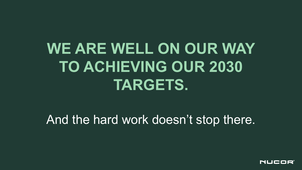## **WE ARE WELL ON OUR WAY TO ACHIEVING OUR 2030 TARGETS.**

And the hard work doesn't stop there.

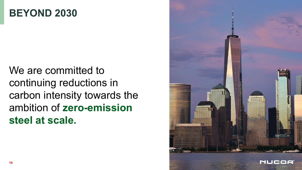### **BEYOND 2030**

We are committed to continuing reductions in carbon intensity towards the ambition of **zero-emission steel at scale.**